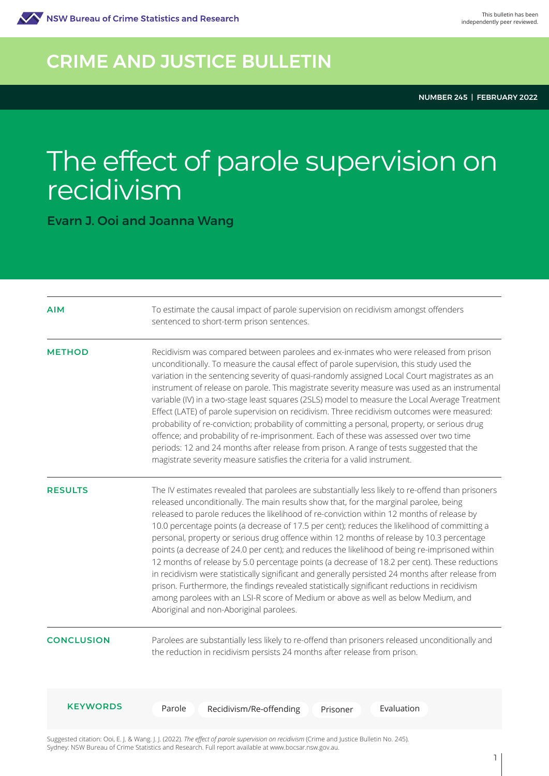

## CRIME AND JUSTICE BULLETIN

NUMBER 245 | FEBRUARY 2022

# The effect of parole supervision on recidivism

Evarn J. Ooi and Joanna Wang

| <b>AIM</b>        | To estimate the causal impact of parole supervision on recidivism amongst offenders<br>sentenced to short-term prison sentences.                                                                                                                                                                                                                                                                                                                                                                                                                                                                                                                                                                                                                                                                                                                                                                                                                                                                                               |
|-------------------|--------------------------------------------------------------------------------------------------------------------------------------------------------------------------------------------------------------------------------------------------------------------------------------------------------------------------------------------------------------------------------------------------------------------------------------------------------------------------------------------------------------------------------------------------------------------------------------------------------------------------------------------------------------------------------------------------------------------------------------------------------------------------------------------------------------------------------------------------------------------------------------------------------------------------------------------------------------------------------------------------------------------------------|
| <b>METHOD</b>     | Recidivism was compared between parolees and ex-inmates who were released from prison<br>unconditionally. To measure the causal effect of parole supervision, this study used the<br>variation in the sentencing severity of quasi-randomly assigned Local Court magistrates as an<br>instrument of release on parole. This magistrate severity measure was used as an instrumental<br>variable (IV) in a two-stage least squares (2SLS) model to measure the Local Average Treatment<br>Effect (LATE) of parole supervision on recidivism. Three recidivism outcomes were measured:<br>probability of re-conviction; probability of committing a personal, property, or serious drug<br>offence; and probability of re-imprisonment. Each of these was assessed over two time<br>periods: 12 and 24 months after release from prison. A range of tests suggested that the<br>magistrate severity measure satisfies the criteria for a valid instrument.                                                                       |
| <b>RESULTS</b>    | The IV estimates revealed that parolees are substantially less likely to re-offend than prisoners<br>released unconditionally. The main results show that, for the marginal parolee, being<br>released to parole reduces the likelihood of re-conviction within 12 months of release by<br>10.0 percentage points (a decrease of 17.5 per cent); reduces the likelihood of committing a<br>personal, property or serious drug offence within 12 months of release by 10.3 percentage<br>points (a decrease of 24.0 per cent); and reduces the likelihood of being re-imprisoned within<br>12 months of release by 5.0 percentage points (a decrease of 18.2 per cent). These reductions<br>in recidivism were statistically significant and generally persisted 24 months after release from<br>prison. Furthermore, the findings revealed statistically significant reductions in recidivism<br>among parolees with an LSI-R score of Medium or above as well as below Medium, and<br>Aboriginal and non-Aboriginal parolees. |
| <b>CONCLUSION</b> | Parolees are substantially less likely to re-offend than prisoners released unconditionally and<br>the reduction in recidivism persists 24 months after release from prison.                                                                                                                                                                                                                                                                                                                                                                                                                                                                                                                                                                                                                                                                                                                                                                                                                                                   |
| <b>KEYWORDS</b>   | Evaluation<br>Parole<br>Recidivism/Re-offending<br>Prisoner                                                                                                                                                                                                                                                                                                                                                                                                                                                                                                                                                                                                                                                                                                                                                                                                                                                                                                                                                                    |

Suggested citation: Ooi, E. J. & Wang. J. J. (2022). *The effect of parole supervision on recidivism* (Crime and Justice Bulletin No. 245). Sydney: NSW Bureau of Crime Statistics and Research. Full report available at www.bocsar.nsw.gov.au.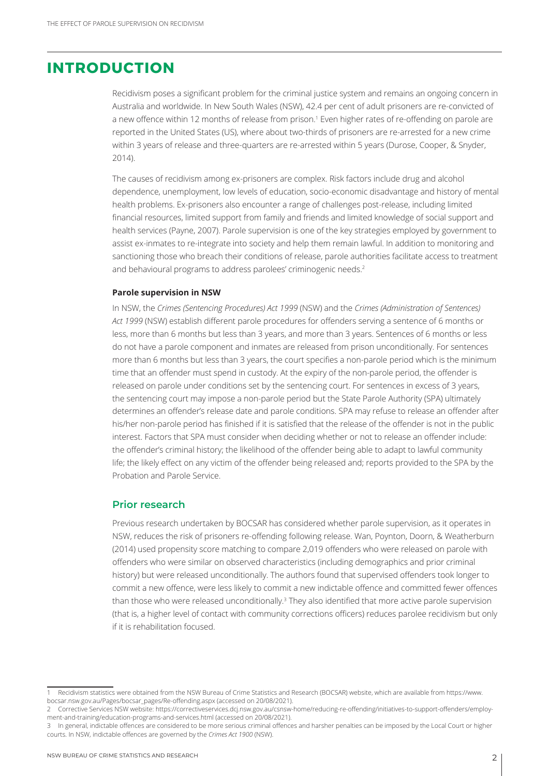## **INTRODUCTION**

Recidivism poses a significant problem for the criminal justice system and remains an ongoing concern in Australia and worldwide. In New South Wales (NSW), 42.4 per cent of adult prisoners are re-convicted of a new offence within 12 months of release from prison.<sup>1</sup> Even higher rates of re-offending on parole are reported in the United States (US), where about two-thirds of prisoners are re-arrested for a new crime within 3 years of release and three-quarters are re-arrested within 5 years (Durose, Cooper, & Snyder, 2014).

The causes of recidivism among ex-prisoners are complex. Risk factors include drug and alcohol dependence, unemployment, low levels of education, socio-economic disadvantage and history of mental health problems. Ex-prisoners also encounter a range of challenges post-release, including limited financial resources, limited support from family and friends and limited knowledge of social support and health services (Payne, 2007). Parole supervision is one of the key strategies employed by government to assist ex-inmates to re-integrate into society and help them remain lawful. In addition to monitoring and sanctioning those who breach their conditions of release, parole authorities facilitate access to treatment and behavioural programs to address parolees' criminogenic needs.<sup>2</sup>

#### **Parole supervision in NSW**

In NSW, the *Crimes (Sentencing Procedures) Act 1999* (NSW) and the *Crimes (Administration of Sentences) Act 1999* (NSW) establish different parole procedures for offenders serving a sentence of 6 months or less, more than 6 months but less than 3 years, and more than 3 years. Sentences of 6 months or less do not have a parole component and inmates are released from prison unconditionally. For sentences more than 6 months but less than 3 years, the court specifies a non-parole period which is the minimum time that an offender must spend in custody. At the expiry of the non-parole period, the offender is released on parole under conditions set by the sentencing court. For sentences in excess of 3 years, the sentencing court may impose a non-parole period but the State Parole Authority (SPA) ultimately determines an offender's release date and parole conditions. SPA may refuse to release an offender after his/her non-parole period has finished if it is satisfied that the release of the offender is not in the public interest. Factors that SPA must consider when deciding whether or not to release an offender include: the offender's criminal history; the likelihood of the offender being able to adapt to lawful community life; the likely effect on any victim of the offender being released and; reports provided to the SPA by the Probation and Parole Service.

#### **Prior research**

Previous research undertaken by BOCSAR has considered whether parole supervision, as it operates in NSW, reduces the risk of prisoners re-offending following release. Wan, Poynton, Doorn, & Weatherburn (2014) used propensity score matching to compare 2,019 offenders who were released on parole with offenders who were similar on observed characteristics (including demographics and prior criminal history) but were released unconditionally. The authors found that supervised offenders took longer to commit a new offence, were less likely to commit a new indictable offence and committed fewer offences than those who were released unconditionally.<sup>3</sup> They also identified that more active parole supervision (that is, a higher level of contact with community corrections officers) reduces parolee recidivism but only if it is rehabilitation focused.

<sup>1</sup> Recidivism statistics were obtained from the NSW Bureau of Crime Statistics and Research (BOCSAR) website, which are available from https://www. bocsar.nsw.gov.au/Pages/bocsar\_pages/Re-offending.aspx (accessed on 20/08/2021).

<sup>2</sup> Corrective Services NSW website: https://correctiveservices.dcj.nsw.gov.au/csnsw-home/reducing-re-offending/initiatives-to-support-offenders/employment-and-training/education-programs-and-services.html (accessed on 20/08/2021).

<sup>3</sup> In general, indictable offences are considered to be more serious criminal offences and harsher penalties can be imposed by the Local Court or higher courts. In NSW, indictable offences are governed by the *Crimes Act 1900* (NSW).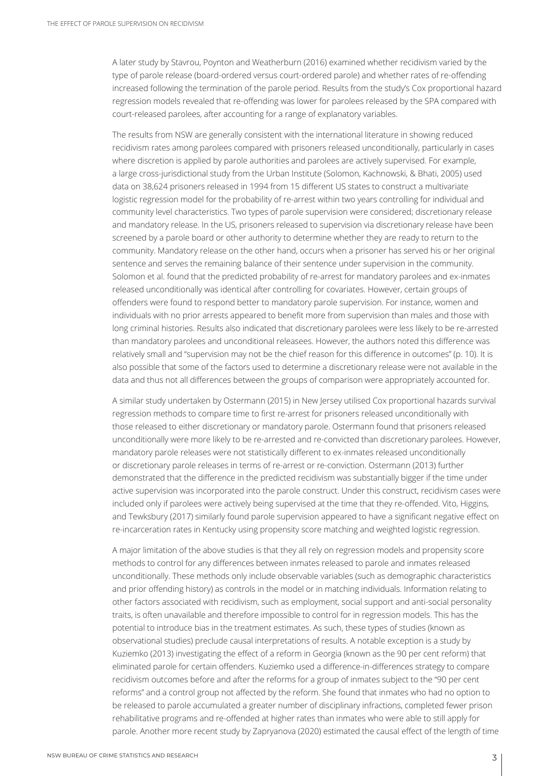A later study by Stavrou, Poynton and Weatherburn (2016) examined whether recidivism varied by the type of parole release (board-ordered versus court-ordered parole) and whether rates of re-offending increased following the termination of the parole period. Results from the study's Cox proportional hazard regression models revealed that re-offending was lower for parolees released by the SPA compared with court-released parolees, after accounting for a range of explanatory variables.

The results from NSW are generally consistent with the international literature in showing reduced recidivism rates among parolees compared with prisoners released unconditionally, particularly in cases where discretion is applied by parole authorities and parolees are actively supervised. For example, a large cross-jurisdictional study from the Urban Institute (Solomon, Kachnowski, & Bhati, 2005) used data on 38,624 prisoners released in 1994 from 15 different US states to construct a multivariate logistic regression model for the probability of re-arrest within two years controlling for individual and community level characteristics. Two types of parole supervision were considered; discretionary release and mandatory release. In the US, prisoners released to supervision via discretionary release have been screened by a parole board or other authority to determine whether they are ready to return to the community. Mandatory release on the other hand, occurs when a prisoner has served his or her original sentence and serves the remaining balance of their sentence under supervision in the community. Solomon et al. found that the predicted probability of re-arrest for mandatory parolees and ex-inmates released unconditionally was identical after controlling for covariates. However, certain groups of offenders were found to respond better to mandatory parole supervision. For instance, women and individuals with no prior arrests appeared to benefit more from supervision than males and those with long criminal histories. Results also indicated that discretionary parolees were less likely to be re-arrested than mandatory parolees and unconditional releasees. However, the authors noted this difference was relatively small and "supervision may not be the chief reason for this difference in outcomes" (p. 10). It is also possible that some of the factors used to determine a discretionary release were not available in the data and thus not all differences between the groups of comparison were appropriately accounted for.

A similar study undertaken by Ostermann (2015) in New Jersey utilised Cox proportional hazards survival regression methods to compare time to first re-arrest for prisoners released unconditionally with those released to either discretionary or mandatory parole. Ostermann found that prisoners released unconditionally were more likely to be re-arrested and re-convicted than discretionary parolees. However, mandatory parole releases were not statistically different to ex-inmates released unconditionally or discretionary parole releases in terms of re-arrest or re-conviction. Ostermann (2013) further demonstrated that the difference in the predicted recidivism was substantially bigger if the time under active supervision was incorporated into the parole construct. Under this construct, recidivism cases were included only if parolees were actively being supervised at the time that they re-offended. Vito, Higgins, and Tewksbury (2017) similarly found parole supervision appeared to have a significant negative effect on re-incarceration rates in Kentucky using propensity score matching and weighted logistic regression.

A major limitation of the above studies is that they all rely on regression models and propensity score methods to control for any differences between inmates released to parole and inmates released unconditionally. These methods only include observable variables (such as demographic characteristics and prior offending history) as controls in the model or in matching individuals. Information relating to other factors associated with recidivism, such as employment, social support and anti-social personality traits, is often unavailable and therefore impossible to control for in regression models. This has the potential to introduce bias in the treatment estimates. As such, these types of studies (known as observational studies) preclude causal interpretations of results. A notable exception is a study by Kuziemko (2013) investigating the effect of a reform in Georgia (known as the 90 per cent reform) that eliminated parole for certain offenders. Kuziemko used a difference-in-differences strategy to compare recidivism outcomes before and after the reforms for a group of inmates subject to the "90 per cent reforms" and a control group not affected by the reform. She found that inmates who had no option to be released to parole accumulated a greater number of disciplinary infractions, completed fewer prison rehabilitative programs and re-offended at higher rates than inmates who were able to still apply for parole. Another more recent study by Zapryanova (2020) estimated the causal effect of the length of time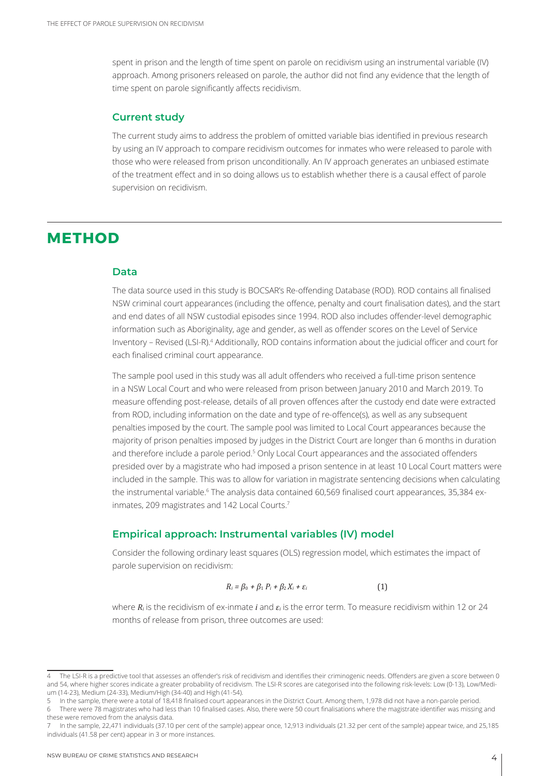spent in prison and the length of time spent on parole on recidivism using an instrumental variable (IV) approach. Among prisoners released on parole, the author did not find any evidence that the length of time spent on parole significantly affects recidivism.

#### **Current study**

The current study aims to address the problem of omitted variable bias identified in previous research by using an IV approach to compare recidivism outcomes for inmates who were released to parole with those who were released from prison unconditionally. An IV approach generates an unbiased estimate of the treatment effect and in so doing allows us to establish whether there is a causal effect of parole supervision on recidivism.

## **METHOD**

#### **Data**

The data source used in this study is BOCSAR's Re-offending Database (ROD). ROD contains all finalised NSW criminal court appearances (including the offence, penalty and court finalisation dates), and the start and end dates of all NSW custodial episodes since 1994. ROD also includes offender-level demographic information such as Aboriginality, age and gender, as well as offender scores on the Level of Service Inventory - Revised (LSI-R).<sup>4</sup> Additionally, ROD contains information about the judicial officer and court for each finalised criminal court appearance.

The sample pool used in this study was all adult offenders who received a full-time prison sentence in a NSW Local Court and who were released from prison between January 2010 and March 2019. To measure offending post-release, details of all proven offences after the custody end date were extracted from ROD, including information on the date and type of re-offence(s), as well as any subsequent penalties imposed by the court. The sample pool was limited to Local Court appearances because the majority of prison penalties imposed by judges in the District Court are longer than 6 months in duration and therefore include a parole period.<sup>5</sup> Only Local Court appearances and the associated offenders presided over by a magistrate who had imposed a prison sentence in at least 10 Local Court matters were included in the sample. This was to allow for variation in magistrate sentencing decisions when calculating the instrumental variable.<sup>6</sup> The analysis data contained 60,569 finalised court appearances, 35,384 exinmates, 209 magistrates and 142 Local Courts.7

#### **Empirical approach: Instrumental variables (IV) model**

Consider the following ordinary least squares (OLS) regression model, which estimates the impact of parole supervision on recidivism:

$$
R_i = \beta_0 + \beta_1 P_i + \beta_2 X_i + \varepsilon_i \tag{1}
$$

where *Ri* is the recidivism of ex-inmate *i* and *εi* is the error term. To measure recidivism within 12 or 24 months of release from prison, three outcomes are used:

- 5 In the sample, there were a total of 18,418 finalised court appearances in the District Court. Among them, 1,978 did not have a non-parole period. 6 There were 78 magistrates who had less than 10 finalised cases. Also, there were 50 court finalisations where the magistrate identifier was missing and
- these were removed from the analysis data. 7 In the sample, 22,471 individuals (37.10 per cent of the sample) appear once, 12,913 individuals (21.32 per cent of the sample) appear twice, and 25,185
- individuals (41.58 per cent) appear in 3 or more instances.

The LSI-R is a predictive tool that assesses an offender's risk of recidivism and identifies their criminogenic needs. Offenders are given a score between 0 and 54, where higher scores indicate a greater probability of recidivism. The LSI-R scores are categorised into the following risk-levels: Low (0-13), Low/Medium (14-23), Medium (24-33), Medium/High (34-40) and High (41-54).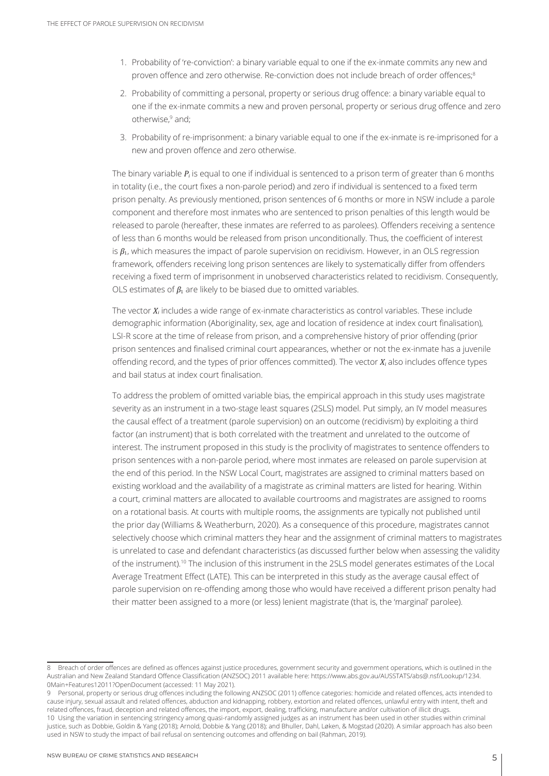- 1. Probability of 're-conviction': a binary variable equal to one if the ex-inmate commits any new and proven offence and zero otherwise. Re-conviction does not include breach of order offences;<sup>8</sup>
- 2. Probability of committing a personal, property or serious drug offence: a binary variable equal to one if the ex-inmate commits a new and proven personal, property or serious drug offence and zero otherwise,9 and;
- 3. Probability of re-imprisonment: a binary variable equal to one if the ex-inmate is re-imprisoned for a new and proven offence and zero otherwise.

The binary variable *Pi* is equal to one if individual is sentenced to a prison term of greater than 6 months in totality (i.e., the court fixes a non-parole period) and zero if individual is sentenced to a fixed term prison penalty. As previously mentioned, prison sentences of 6 months or more in NSW include a parole component and therefore most inmates who are sentenced to prison penalties of this length would be released to parole (hereafter, these inmates are referred to as parolees). Offenders receiving a sentence of less than 6 months would be released from prison unconditionally. Thus, the coefficient of interest is  $\beta_1$ , which measures the impact of parole supervision on recidivism. However, in an OLS regression framework, offenders receiving long prison sentences are likely to systematically differ from offenders receiving a fixed term of imprisonment in unobserved characteristics related to recidivism. Consequently, OLS estimates of  $\beta_1$  are likely to be biased due to omitted variables.

The vector *Xi* includes a wide range of ex-inmate characteristics as control variables. These include demographic information (Aboriginality, sex, age and location of residence at index court finalisation), LSI-R score at the time of release from prison, and a comprehensive history of prior offending (prior prison sentences and finalised criminal court appearances, whether or not the ex-inmate has a juvenile offending record, and the types of prior offences committed). The vector *Xi* also includes offence types and bail status at index court finalisation.

To address the problem of omitted variable bias, the empirical approach in this study uses magistrate severity as an instrument in a two-stage least squares (2SLS) model. Put simply, an IV model measures the causal effect of a treatment (parole supervision) on an outcome (recidivism) by exploiting a third factor (an instrument) that is both correlated with the treatment and unrelated to the outcome of interest. The instrument proposed in this study is the proclivity of magistrates to sentence offenders to prison sentences with a non-parole period, where most inmates are released on parole supervision at the end of this period. In the NSW Local Court, magistrates are assigned to criminal matters based on existing workload and the availability of a magistrate as criminal matters are listed for hearing. Within a court, criminal matters are allocated to available courtrooms and magistrates are assigned to rooms on a rotational basis. At courts with multiple rooms, the assignments are typically not published until the prior day (Williams & Weatherburn, 2020). As a consequence of this procedure, magistrates cannot selectively choose which criminal matters they hear and the assignment of criminal matters to magistrates is unrelated to case and defendant characteristics (as discussed further below when assessing the validity of the instrument).10 The inclusion of this instrument in the 2SLS model generates estimates of the Local Average Treatment Effect (LATE). This can be interpreted in this study as the average causal effect of parole supervision on re-offending among those who would have received a different prison penalty had their matter been assigned to a more (or less) lenient magistrate (that is, the 'marginal' parolee).

<sup>8</sup> Breach of order offences are defined as offences against justice procedures, government security and government operations, which is outlined in the Australian and New Zealand Standard Offence Classification (ANZSOC) 2011 available here: https://www.abs.gov.au/AUSSTATS/abs@.nsf/Lookup/1234. 0Main+Features12011?OpenDocument (accessed: 11 May 2021).

<sup>9</sup> Personal, property or serious drug offences including the following ANZSOC (2011) offence categories: homicide and related offences, acts intended to cause injury, sexual assault and related offences, abduction and kidnapping, robbery, extortion and related offences, unlawful entry with intent, theft and related offences, fraud, deception and related offences, the import, export, dealing, trafficking, manufacture and/or cultivation of illicit drugs. 10 Using the variation in sentencing stringency among quasi-randomly assigned judges as an instrument has been used in other studies within criminal justice, such as Dobbie, Goldin & Yang (2018); Arnold, Dobbie & Yang (2018); and Bhuller, Dahl, Løken, & Mogstad (2020). A similar approach has also been used in NSW to study the impact of bail refusal on sentencing outcomes and offending on bail (Rahman, 2019).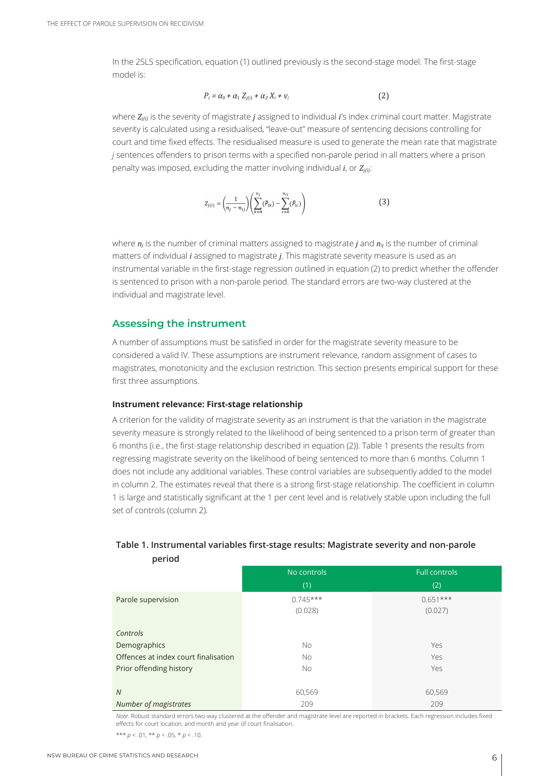In the 2SLS specification, equation (1) outlined previously is the second-stage model. The first-stage model is:

$$
P_i = \alpha_0 + \alpha_1 Z_{j(i)} + \alpha_2 X_i + v_i \tag{2}
$$

where  $Z_{ij0}$  is the severity of magistrate *j* assigned to individual *i*'s index criminal court matter. Magistrate severity is calculated using a residualised, "leave-out" measure of sentencing decisions controlling for court and time fixed effects. The residualised measure is used to generate the mean rate that magistrate *j* sentences offenders to prison terms with a specified non-parole period in all matters where a prison penalty was imposed, excluding the matter involving individual  $i$ , or  $Z_{ij}$ ;

$$
Z_{j(i)} = \left(\frac{1}{n_j - n_{ij}}\right) \left(\sum_{k=0}^{n_j} (\hat{P}_{ik}) - \sum_{c=0}^{n_{ij}} (\hat{P}_{ic})\right)
$$
(3)

where *n<sub>i</sub>* is the number of criminal matters assigned to magistrate *j* and *n<sub>ij</sub>* is the number of criminal matters of individual *i* assigned to magistrate *j*. This magistrate severity measure is used as an instrumental variable in the first-stage regression outlined in equation (2) to predict whether the offender is sentenced to prison with a non-parole period. The standard errors are two-way clustered at the individual and magistrate level.

#### **Assessing the instrument**

A number of assumptions must be satisfied in order for the magistrate severity measure to be considered a valid IV. These assumptions are instrument relevance, random assignment of cases to magistrates, monotonicity and the exclusion restriction. This section presents empirical support for these first three assumptions.

#### **Instrument relevance: First-stage relationship**

A criterion for the validity of magistrate severity as an instrument is that the variation in the magistrate severity measure is strongly related to the likelihood of being sentenced to a prison term of greater than 6 months (i.e., the first-stage relationship described in equation (2)). Table 1 presents the results from regressing magistrate severity on the likelihood of being sentenced to more than 6 months. Column 1 does not include any additional variables. These control variables are subsequently added to the model in column 2. The estimates reveal that there is a strong first-stage relationship. The coefficient in column 1 is large and statistically significant at the 1 per cent level and is relatively stable upon including the full set of controls (column 2).

| penoa                                |             |                      |
|--------------------------------------|-------------|----------------------|
|                                      | No controls | <b>Full controls</b> |
|                                      | (1)         | (2)                  |
| Parole supervision                   | $0.745***$  | $0.651***$           |
|                                      | (0.028)     | (0.027)              |
|                                      |             |                      |
| Controls                             |             |                      |
| Demographics                         | <b>No</b>   | Yes                  |
| Offences at index court finalisation | <b>No</b>   | Yes                  |
| Prior offending history              | <b>No</b>   | Yes                  |
|                                      |             |                      |
| $\overline{N}$                       | 60,569      | 60,569               |
| Number of magistrates                | 209         | 209                  |

#### **Table 1. Instrumental variables first-stage results: Magistrate severity and non-parole period**

*Note*. Robust standard errors two-way clustered at the offender and magistrate level are reported in brackets. Each regression includes fixed effects for court location, and month and year of court finalisation.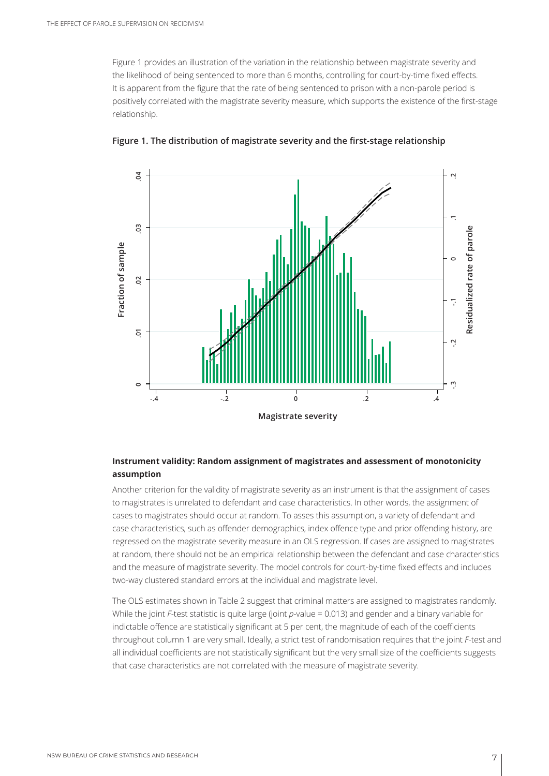Figure 1 provides an illustration of the variation in the relationship between magistrate severity and the likelihood of being sentenced to more than 6 months, controlling for court-by-time fixed effects. It is apparent from the figure that the rate of being sentenced to prison with a non-parole period is positively correlated with the magistrate severity measure, which supports the existence of the first-stage relationship.



**Figure 1. The distribution of magistrate severity and the first-stage relationship**

#### **Instrument validity: Random assignment of magistrates and assessment of monotonicity assumption**

Another criterion for the validity of magistrate severity as an instrument is that the assignment of cases to magistrates is unrelated to defendant and case characteristics. In other words, the assignment of cases to magistrates should occur at random. To asses this assumption, a variety of defendant and case characteristics, such as offender demographics, index offence type and prior offending history, are regressed on the magistrate severity measure in an OLS regression. If cases are assigned to magistrates at random, there should not be an empirical relationship between the defendant and case characteristics and the measure of magistrate severity. The model controls for court-by-time fixed effects and includes two-way clustered standard errors at the individual and magistrate level.

The OLS estimates shown in Table 2 suggest that criminal matters are assigned to magistrates randomly. While the joint *F*-test statistic is quite large (joint *p-*value = 0.013) and gender and a binary variable for indictable offence are statistically significant at 5 per cent, the magnitude of each of the coefficients throughout column 1 are very small. Ideally, a strict test of randomisation requires that the joint *F*-test and all individual coefficients are not statistically significant but the very small size of the coefficients suggests that case characteristics are not correlated with the measure of magistrate severity.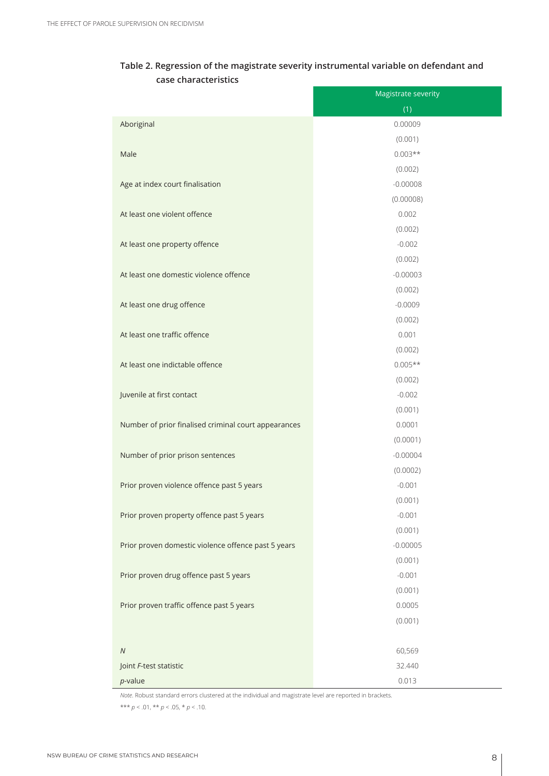| Table 2. Regression of the magistrate severity instrumental variable on defendant and |  |
|---------------------------------------------------------------------------------------|--|
| case characteristics                                                                  |  |

|                                                      | Magistrate severity |
|------------------------------------------------------|---------------------|
|                                                      | (1)                 |
| Aboriginal                                           | 0.00009             |
|                                                      | (0.001)             |
| Male                                                 | $0.003**$           |
|                                                      | (0.002)             |
| Age at index court finalisation                      | $-0.00008$          |
|                                                      | (0.00008)           |
| At least one violent offence                         | 0.002               |
|                                                      | (0.002)             |
| At least one property offence                        | $-0.002$            |
|                                                      | (0.002)             |
| At least one domestic violence offence               | $-0.00003$          |
|                                                      | (0.002)             |
| At least one drug offence                            | $-0.0009$           |
|                                                      | (0.002)             |
| At least one traffic offence                         | 0.001               |
|                                                      | (0.002)             |
| At least one indictable offence                      | $0.005**$           |
|                                                      | (0.002)             |
| Juvenile at first contact                            | $-0.002$            |
|                                                      | (0.001)             |
| Number of prior finalised criminal court appearances | 0.0001              |
|                                                      | (0.0001)            |
| Number of prior prison sentences                     | $-0.00004$          |
|                                                      | (0.0002)            |
| Prior proven violence offence past 5 years           | $-0.001$            |
|                                                      | (0.001)             |
| Prior proven property offence past 5 years           | $-0.001$            |
|                                                      | (0.001)             |
| Prior proven domestic violence offence past 5 years  | $-0.00005$          |
|                                                      | (0.001)             |
| Prior proven drug offence past 5 years               | $-0.001$            |
|                                                      | (0.001)             |
| Prior proven traffic offence past 5 years            | 0.0005              |
|                                                      | (0.001)             |
|                                                      |                     |
| ${\cal N}$                                           | 60,569              |
| Joint F-test statistic                               | 32.440              |
| $p$ -value                                           | 0.013               |

*Note*. Robust standard errors clustered at the individual and magistrate level are reported in brackets. \*\*\* *p* < .01, \*\* *p* < .05, \* *p* < .10.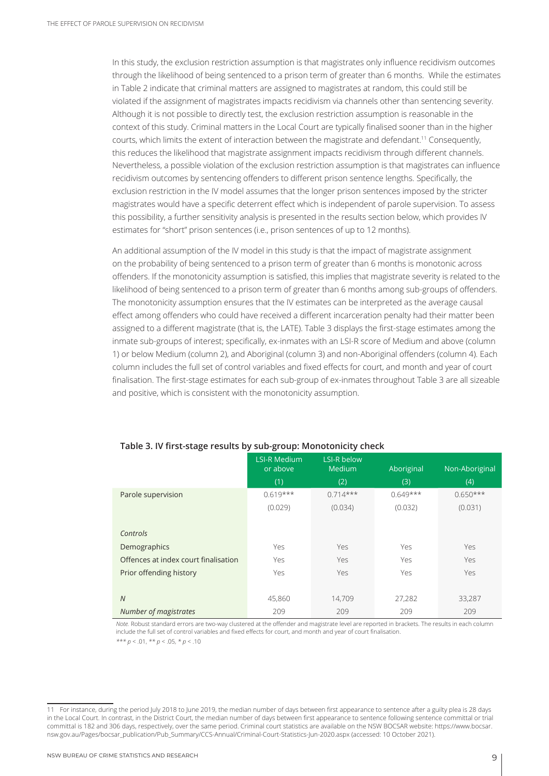In this study, the exclusion restriction assumption is that magistrates only influence recidivism outcomes through the likelihood of being sentenced to a prison term of greater than 6 months. While the estimates in Table 2 indicate that criminal matters are assigned to magistrates at random, this could still be violated if the assignment of magistrates impacts recidivism via channels other than sentencing severity. Although it is not possible to directly test, the exclusion restriction assumption is reasonable in the context of this study. Criminal matters in the Local Court are typically finalised sooner than in the higher courts, which limits the extent of interaction between the magistrate and defendant.11 Consequently, this reduces the likelihood that magistrate assignment impacts recidivism through different channels. Nevertheless, a possible violation of the exclusion restriction assumption is that magistrates can influence recidivism outcomes by sentencing offenders to different prison sentence lengths. Specifically, the exclusion restriction in the IV model assumes that the longer prison sentences imposed by the stricter magistrates would have a specific deterrent effect which is independent of parole supervision. To assess this possibility, a further sensitivity analysis is presented in the results section below, which provides IV estimates for "short" prison sentences (i.e., prison sentences of up to 12 months).

An additional assumption of the IV model in this study is that the impact of magistrate assignment on the probability of being sentenced to a prison term of greater than 6 months is monotonic across offenders. If the monotonicity assumption is satisfied, this implies that magistrate severity is related to the likelihood of being sentenced to a prison term of greater than 6 months among sub-groups of offenders. The monotonicity assumption ensures that the IV estimates can be interpreted as the average causal effect among offenders who could have received a different incarceration penalty had their matter been assigned to a different magistrate (that is, the LATE). Table 3 displays the first-stage estimates among the inmate sub-groups of interest; specifically, ex-inmates with an LSI-R score of Medium and above (column 1) or below Medium (column 2), and Aboriginal (column 3) and non-Aboriginal offenders (column 4). Each column includes the full set of control variables and fixed effects for court, and month and year of court finalisation. The first-stage estimates for each sub-group of ex-inmates throughout Table 3 are all sizeable and positive, which is consistent with the monotonicity assumption.

|                                      | <b>LSI-R Medium</b><br>or above | <b>LSI-R below</b><br>Medium | Aboriginal | Non-Aboriginal |
|--------------------------------------|---------------------------------|------------------------------|------------|----------------|
|                                      | (1)                             | (2)                          | (3)        | (4)            |
| Parole supervision                   | $0.619***$                      | $0.714***$                   | $0.649***$ | $0.650***$     |
|                                      | (0.029)                         | (0.034)                      | (0.032)    | (0.031)        |
|                                      |                                 |                              |            |                |
| Controls                             |                                 |                              |            |                |
| Demographics                         | Yes                             | Yes                          | Yes        | Yes            |
| Offences at index court finalisation | Yes                             | Yes                          | Yes        | Yes            |
| Prior offending history              | Yes                             | Yes                          | Yes        | Yes            |
|                                      |                                 |                              |            |                |
| $\overline{N}$                       | 45,860                          | 14,709                       | 27,282     | 33,287         |
| Number of magistrates                | 209                             | 209                          | 209        | 209            |

#### **Table 3. IV first-stage results by sub-group: Monotonicity check**

*Note.* Robust standard errors are two-way clustered at the offender and magistrate level are reported in brackets. The results in each column include the full set of control variables and fixed effects for court, and month and year of court finalisation.

<sup>11</sup> For instance, during the period July 2018 to June 2019, the median number of days between first appearance to sentence after a guilty plea is 28 days in the Local Court. In contrast, in the District Court, the median number of days between first appearance to sentence following sentence committal or trial committal is 182 and 306 days, respectively, over the same period. Criminal court statistics are available on the NSW BOCSAR website: https://www.bocsar. nsw.gov.au/Pages/bocsar\_publication/Pub\_Summary/CCS-Annual/Criminal-Court-Statistics-Jun-2020.aspx (accessed: 10 October 2021).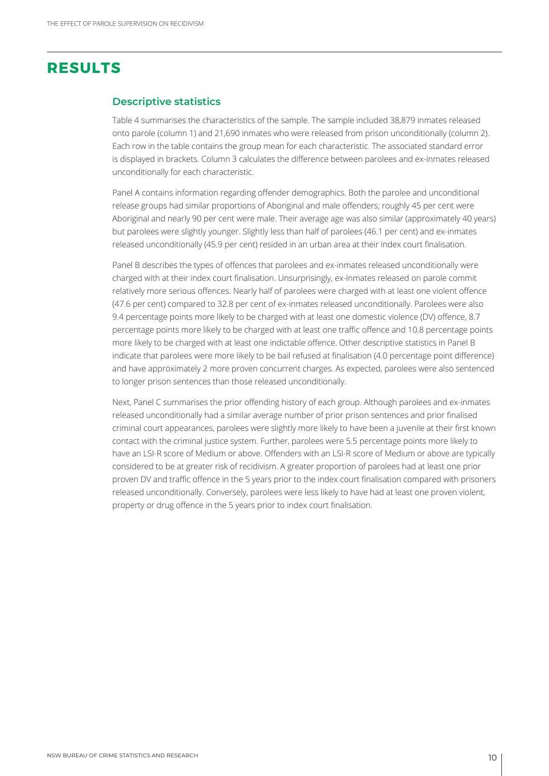## **RESULTS**

#### **Descriptive statistics**

Table 4 summarises the characteristics of the sample. The sample included 38,879 inmates released onto parole (column 1) and 21,690 inmates who were released from prison unconditionally (column 2). Each row in the table contains the group mean for each characteristic. The associated standard error is displayed in brackets. Column 3 calculates the difference between parolees and ex-inmates released unconditionally for each characteristic.

Panel A contains information regarding offender demographics. Both the parolee and unconditional release groups had similar proportions of Aboriginal and male offenders; roughly 45 per cent were Aboriginal and nearly 90 per cent were male. Their average age was also similar (approximately 40 years) but parolees were slightly younger. Slightly less than half of parolees (46.1 per cent) and ex-inmates released unconditionally (45.9 per cent) resided in an urban area at their index court finalisation.

Panel B describes the types of offences that parolees and ex-inmates released unconditionally were charged with at their index court finalisation. Unsurprisingly, ex-inmates released on parole commit relatively more serious offences. Nearly half of parolees were charged with at least one violent offence (47.6 per cent) compared to 32.8 per cent of ex-inmates released unconditionally. Parolees were also 9.4 percentage points more likely to be charged with at least one domestic violence (DV) offence, 8.7 percentage points more likely to be charged with at least one traffic offence and 10.8 percentage points more likely to be charged with at least one indictable offence. Other descriptive statistics in Panel B indicate that parolees were more likely to be bail refused at finalisation (4.0 percentage point difference) and have approximately 2 more proven concurrent charges. As expected, parolees were also sentenced to longer prison sentences than those released unconditionally.

Next, Panel C summarises the prior offending history of each group. Although parolees and ex-inmates released unconditionally had a similar average number of prior prison sentences and prior finalised criminal court appearances, parolees were slightly more likely to have been a juvenile at their first known contact with the criminal justice system. Further, parolees were 5.5 percentage points more likely to have an LSI-R score of Medium or above. Offenders with an LSI-R score of Medium or above are typically considered to be at greater risk of recidivism. A greater proportion of parolees had at least one prior proven DV and traffic offence in the 5 years prior to the index court finalisation compared with prisoners released unconditionally. Conversely, parolees were less likely to have had at least one proven violent, property or drug offence in the 5 years prior to index court finalisation.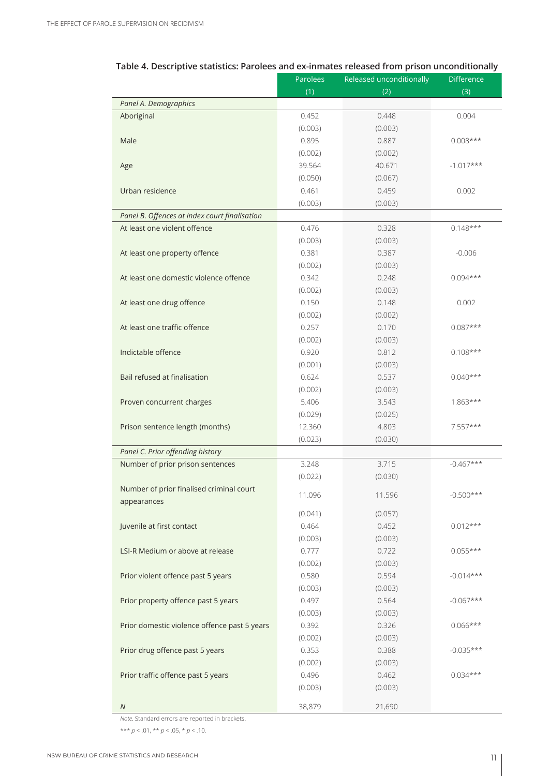|                                               | Parolees | Released unconditionally | <b>Difference</b> |
|-----------------------------------------------|----------|--------------------------|-------------------|
|                                               | (1)      | (2)                      | (3)               |
| Panel A. Demographics                         |          |                          |                   |
| Aboriginal                                    | 0.452    | 0.448                    | 0.004             |
|                                               | (0.003)  | (0.003)                  |                   |
| Male                                          | 0.895    | 0.887                    | $0.008***$        |
|                                               | (0.002)  | (0.002)                  |                   |
| Age                                           | 39.564   | 40.671                   | $-1.017***$       |
|                                               | (0.050)  | (0.067)                  |                   |
| Urban residence                               | 0.461    | 0.459                    | 0.002             |
|                                               | (0.003)  | (0.003)                  |                   |
| Panel B. Offences at index court finalisation |          |                          |                   |
| At least one violent offence                  | 0.476    | 0.328                    | $0.148***$        |
|                                               | (0.003)  | (0.003)                  |                   |
| At least one property offence                 | 0.381    | 0.387                    | $-0.006$          |
|                                               | (0.002)  | (0.003)                  |                   |
| At least one domestic violence offence        | 0.342    | 0.248                    | $0.094***$        |
|                                               | (0.002)  | (0.003)                  |                   |
| At least one drug offence                     | 0.150    | 0.148                    | 0.002             |
|                                               | (0.002)  | (0.002)                  |                   |
| At least one traffic offence                  | 0.257    | 0.170                    | $0.087***$        |
|                                               | (0.002)  | (0.003)                  |                   |
| Indictable offence                            | 0.920    | 0.812                    | $0.108***$        |
|                                               | (0.001)  | (0.003)                  |                   |
| Bail refused at finalisation                  | 0.624    | 0.537                    | $0.040***$        |
|                                               | (0.002)  | (0.003)                  |                   |
| Proven concurrent charges                     | 5.406    | 3.543                    | $1.863***$        |
|                                               | (0.029)  | (0.025)                  |                   |
| Prison sentence length (months)               | 12.360   | 4.803                    | 7.557***          |
|                                               | (0.023)  | (0.030)                  |                   |
| Panel C. Prior offending history              |          |                          |                   |
| Number of prior prison sentences              | 3.248    | 3.715                    | $-0.467***$       |
|                                               | (0.022)  | (0.030)                  |                   |
| Number of prior finalised criminal court      | 11.096   | 11.596                   | $-0.500***$       |
| appearances                                   |          |                          |                   |
|                                               | (0.041)  | (0.057)                  |                   |
| Juvenile at first contact                     | 0.464    | 0.452                    | $0.012***$        |
|                                               | (0.003)  | (0.003)                  |                   |
| LSI-R Medium or above at release              | 0.777    | 0.722                    | $0.055***$        |
|                                               | (0.002)  | (0.003)                  |                   |
| Prior violent offence past 5 years            | 0.580    | 0.594                    | $-0.014***$       |
|                                               | (0.003)  | (0.003)                  |                   |
| Prior property offence past 5 years           | 0.497    | 0.564                    | $-0.067***$       |
|                                               | (0.003)  | (0.003)                  |                   |
| Prior domestic violence offence past 5 years  | 0.392    | 0.326                    | $0.066***$        |
|                                               | (0.002)  | (0.003)                  |                   |
| Prior drug offence past 5 years               | 0.353    | 0.388                    | $-0.035***$       |
|                                               | (0.002)  | (0.003)                  |                   |
| Prior traffic offence past 5 years            | 0.496    | 0.462                    | $0.034***$        |
|                                               | (0.003)  | (0.003)                  |                   |
| N                                             | 38,879   | 21,690                   |                   |

#### **Table 4. Descriptive statistics: Parolees and ex-inmates released from prison unconditionally**

*Note*. Standard errors are reported in brackets.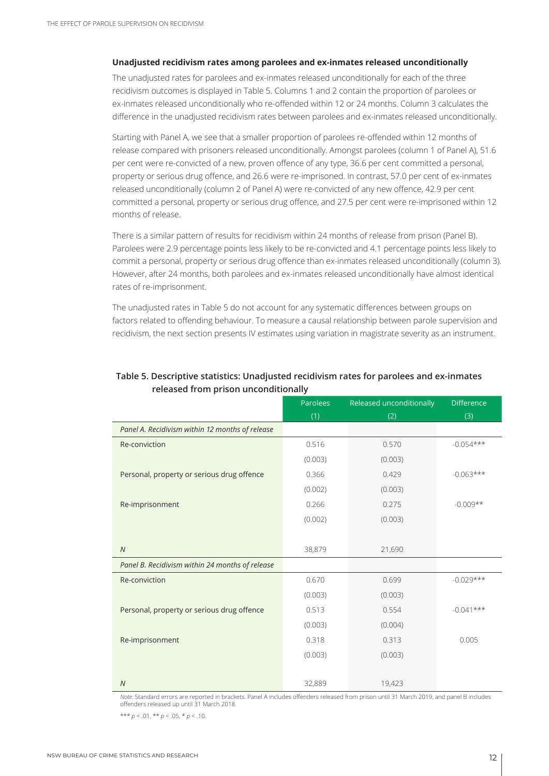#### **Unadjusted recidivism rates among parolees and ex-inmates released unconditionally**

The unadjusted rates for parolees and ex-inmates released unconditionally for each of the three recidivism outcomes is displayed in Table 5. Columns 1 and 2 contain the proportion of parolees or ex-inmates released unconditionally who re-offended within 12 or 24 months. Column 3 calculates the difference in the unadjusted recidivism rates between parolees and ex-inmates released unconditionally.

Starting with Panel A, we see that a smaller proportion of parolees re-offended within 12 months of release compared with prisoners released unconditionally. Amongst parolees (column 1 of Panel A), 51.6 per cent were re-convicted of a new, proven offence of any type, 36.6 per cent committed a personal, property or serious drug offence, and 26.6 were re-imprisoned. In contrast, 57.0 per cent of ex-inmates released unconditionally (column 2 of Panel A) were re-convicted of any new offence, 42.9 per cent committed a personal, property or serious drug offence, and 27.5 per cent were re-imprisoned within 12 months of release.

There is a similar pattern of results for recidivism within 24 months of release from prison (Panel B). Parolees were 2.9 percentage points less likely to be re-convicted and 4.1 percentage points less likely to commit a personal, property or serious drug offence than ex-inmates released unconditionally (column 3). However, after 24 months, both parolees and ex-inmates released unconditionally have almost identical rates of re-imprisonment.

The unadjusted rates in Table 5 do not account for any systematic differences between groups on factors related to offending behaviour. To measure a causal relationship between parole supervision and recidivism, the next section presents IV estimates using variation in magistrate severity as an instrument.

|                                                 | Parolees | Released unconditionally | <b>Difference</b> |
|-------------------------------------------------|----------|--------------------------|-------------------|
|                                                 | (1)      | (2)                      | (3)               |
| Panel A. Recidivism within 12 months of release |          |                          |                   |
| Re-conviction                                   | 0.516    | 0.570                    | $-0.054***$       |
|                                                 | (0.003)  | (0.003)                  |                   |
| Personal, property or serious drug offence      | 0.366    | 0.429                    | $-0.063***$       |
|                                                 | (0.002)  | (0.003)                  |                   |
| Re-imprisonment                                 | 0.266    | 0.275                    | $-0.009**$        |
|                                                 | (0.002)  | (0.003)                  |                   |
|                                                 |          |                          |                   |
| $\overline{N}$                                  | 38,879   | 21,690                   |                   |
| Panel B. Recidivism within 24 months of release |          |                          |                   |
| Re-conviction                                   | 0.670    | 0.699                    | $-0.029***$       |
|                                                 | (0.003)  | (0.003)                  |                   |
| Personal, property or serious drug offence      | 0.513    | 0.554                    | $-0.041***$       |
|                                                 | (0.003)  | (0.004)                  |                   |
| Re-imprisonment                                 | 0.318    | 0.313                    | 0.005             |
|                                                 | (0.003)  | (0.003)                  |                   |
|                                                 |          |                          |                   |
| ${\cal N}$                                      | 32,889   | 19,423                   |                   |

#### **Table 5. Descriptive statistics: Unadjusted recidivism rates for parolees and ex-inmates released from prison unconditionally**

*Note*. Standard errors are reported in brackets. Panel A includes offenders released from prison until 31 March 2019, and panel B includes offenders released up until 31 March 2018.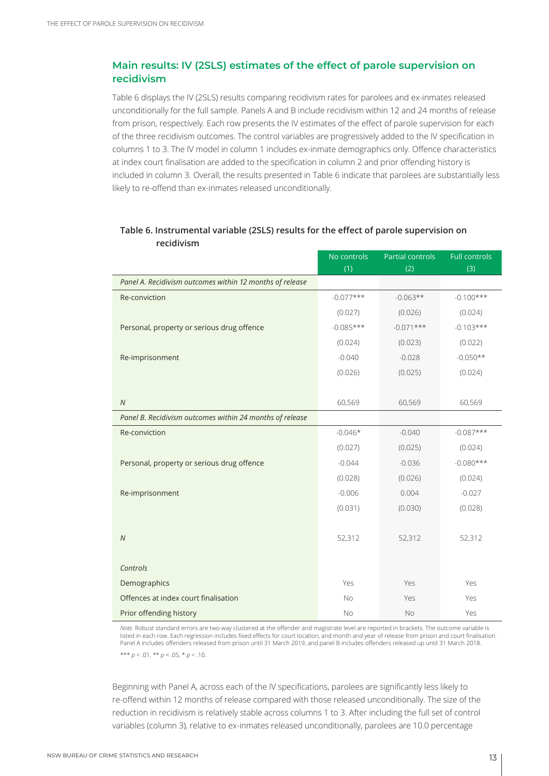#### **Main results: IV (2SLS) estimates of the effect of parole supervision on recidivism**

Table 6 displays the IV (2SLS) results comparing recidivism rates for parolees and ex-inmates released unconditionally for the full sample. Panels A and B include recidivism within 12 and 24 months of release from prison, respectively. Each row presents the IV estimates of the effect of parole supervision for each of the three recidivism outcomes. The control variables are progressively added to the IV specification in columns 1 to 3. The IV model in column 1 includes ex-inmate demographics only. Offence characteristics at index court finalisation are added to the specification in column 2 and prior offending history is included in column 3. Overall, the results presented in Table 6 indicate that parolees are substantially less likely to re-offend than ex-inmates released unconditionally.

|                                                          | No controls | <b>Partial controls</b> | <b>Full controls</b> |
|----------------------------------------------------------|-------------|-------------------------|----------------------|
|                                                          | (1)         | (2)                     | (3)                  |
| Panel A. Recidivism outcomes within 12 months of release |             |                         |                      |
| Re-conviction                                            | $-0.077***$ | $-0.063**$              | $-0.100***$          |
|                                                          | (0.027)     | (0.026)                 | (0.024)              |
| Personal, property or serious drug offence               | $-0.085***$ | $-0.071***$             | $-0.103***$          |
|                                                          | (0.024)     | (0.023)                 | (0.022)              |
| Re-imprisonment                                          | $-0.040$    | $-0.028$                | $-0.050**$           |
|                                                          | (0.026)     | (0.025)                 | (0.024)              |
|                                                          |             |                         |                      |
| $\overline{N}$                                           | 60,569      | 60,569                  | 60,569               |
| Panel B. Recidivism outcomes within 24 months of release |             |                         |                      |
| Re-conviction                                            | $-0.046*$   | $-0.040$                | $-0.087***$          |
|                                                          | (0.027)     | (0.025)                 | (0.024)              |
| Personal, property or serious drug offence               | $-0.044$    | $-0.036$                | $-0.080***$          |
|                                                          | (0.028)     | (0.026)                 | (0.024)              |
| Re-imprisonment                                          | $-0.006$    | 0.004                   | $-0.027$             |
|                                                          | (0.031)     | (0.030)                 | (0.028)              |
|                                                          |             |                         |                      |
| $\overline{N}$                                           | 52,312      | 52,312                  | 52,312               |
|                                                          |             |                         |                      |
| Controls                                                 |             |                         |                      |
| Demographics                                             | Yes         | Yes                     | Yes                  |
| Offences at index court finalisation                     | <b>No</b>   | Yes                     | Yes                  |
| Prior offending history                                  | <b>No</b>   | <b>No</b>               | Yes                  |

#### **Table 6. Instrumental variable (2SLS) results for the effect of parole supervision on recidivism**

*Note*. Robust standard errors are two-way clustered at the offender and magistrate level are reported in brackets. The outcome variable is listed in each row. Each regression includes fixed effects for court location, and month and year of release from prison and court finalisation. Panel A includes offenders released from prison until 31 March 2019, and panel B includes offenders released up until 31 March 2018.

\*\*\* *p* < .01, \*\* *p* < .05, \* *p* < .10.

Beginning with Panel A, across each of the IV specifications, parolees are significantly less likely to re-offend within 12 months of release compared with those released unconditionally. The size of the reduction in recidivism is relatively stable across columns 1 to 3. After including the full set of control variables (column 3), relative to ex-inmates released unconditionally, parolees are 10.0 percentage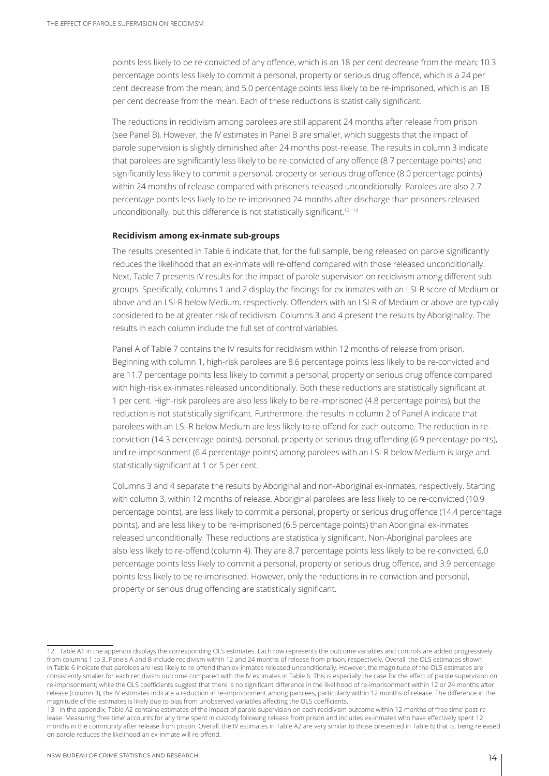points less likely to be re-convicted of any offence, which is an 18 per cent decrease from the mean; 10.3 percentage points less likely to commit a personal, property or serious drug offence, which is a 24 per cent decrease from the mean; and 5.0 percentage points less likely to be re-imprisoned, which is an 18 per cent decrease from the mean. Each of these reductions is statistically significant.

The reductions in recidivism among parolees are still apparent 24 months after release from prison (see Panel B). However, the IV estimates in Panel B are smaller, which suggests that the impact of parole supervision is slightly diminished after 24 months post-release. The results in column 3 indicate that parolees are significantly less likely to be re-convicted of any offence (8.7 percentage points) and significantly less likely to commit a personal, property or serious drug offence (8.0 percentage points) within 24 months of release compared with prisoners released unconditionally. Parolees are also 2.7 percentage points less likely to be re-imprisoned 24 months after discharge than prisoners released unconditionally, but this difference is not statistically significant.<sup>12, 13</sup>

#### **Recidivism among ex-inmate sub-groups**

The results presented in Table 6 indicate that, for the full sample, being released on parole significantly reduces the likelihood that an ex-inmate will re-offend compared with those released unconditionally. Next, Table 7 presents IV results for the impact of parole supervision on recidivism among different subgroups. Specifically, columns 1 and 2 display the findings for ex-inmates with an LSI-R score of Medium or above and an LSI-R below Medium, respectively. Offenders with an LSI-R of Medium or above are typically considered to be at greater risk of recidivism. Columns 3 and 4 present the results by Aboriginality. The results in each column include the full set of control variables.

Panel A of Table 7 contains the IV results for recidivism within 12 months of release from prison. Beginning with column 1, high-risk parolees are 8.6 percentage points less likely to be re-convicted and are 11.7 percentage points less likely to commit a personal, property or serious drug offence compared with high-risk ex-inmates released unconditionally. Both these reductions are statistically significant at 1 per cent. High-risk parolees are also less likely to be re-imprisoned (4.8 percentage points), but the reduction is not statistically significant. Furthermore, the results in column 2 of Panel A indicate that parolees with an LSI-R below Medium are less likely to re-offend for each outcome. The reduction in reconviction (14.3 percentage points), personal, property or serious drug offending (6.9 percentage points), and re-imprisonment (6.4 percentage points) among parolees with an LSI-R below Medium is large and statistically significant at 1 or 5 per cent.

Columns 3 and 4 separate the results by Aboriginal and non-Aboriginal ex-inmates, respectively. Starting with column 3, within 12 months of release, Aboriginal parolees are less likely to be re-convicted (10.9 percentage points), are less likely to commit a personal, property or serious drug offence (14.4 percentage points), and are less likely to be re-imprisoned (6.5 percentage points) than Aboriginal ex-inmates released unconditionally. These reductions are statistically significant. Non-Aboriginal parolees are also less likely to re-offend (column 4). They are 8.7 percentage points less likely to be re-convicted, 6.0 percentage points less likely to commit a personal, property or serious drug offence, and 3.9 percentage points less likely to be re-imprisoned. However, only the reductions in re-conviction and personal, property or serious drug offending are statistically significant.

<sup>12</sup> Table A1 in the appendix displays the corresponding OLS estimates. Each row represents the outcome variables and controls are added progressively from columns 1 to 3. Panels A and B include recidivism within 12 and 24 months of release from prison, respectively. Overall, the OLS estimates shown in Table 6 indicate that parolees are less likely to re-offend than ex-inmates released unconditionally. However, the magnitude of the OLS estimates are consistently smaller for each recidivism outcome compared with the IV estimates in Table 6. This is especially the case for the effect of parole supervision on re-imprisonment; while the OLS coefficients suggest that there is no significant difference in the likelihood of re-imprisonment within 12 or 24 months after release (column 3), the IV estimates indicate a reduction in re-imprisonment among parolees, particularly within 12 months of release. The difference in the magnitude of the estimates is likely due to bias from unobserved variables affecting the OLS coefficients.

<sup>13</sup> In the appendix, Table A2 contains estimates of the impact of parole supervision on each recidivism outcome within 12 months of 'free time' post-release. Measuring 'free time' accounts for any time spent in custody following release from prison and includes ex-inmates who have effectively spent 12 months in the community after release from prison. Overall, the IV estimates in Table A2 are very similar to those presented in Table 6; that is, being released on parole reduces the likelihood an ex-inmate will re-offend.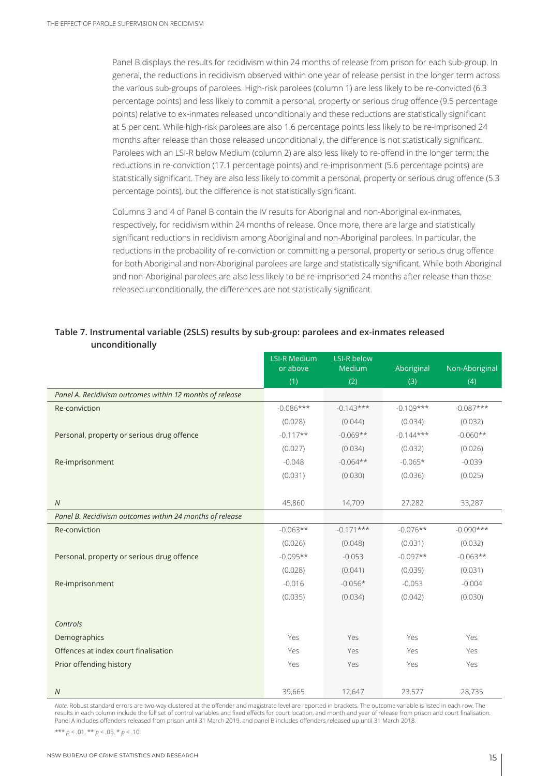Panel B displays the results for recidivism within 24 months of release from prison for each sub-group. In general, the reductions in recidivism observed within one year of release persist in the longer term across the various sub-groups of parolees. High-risk parolees (column 1) are less likely to be re-convicted (6.3 percentage points) and less likely to commit a personal, property or serious drug offence (9.5 percentage points) relative to ex-inmates released unconditionally and these reductions are statistically significant at 5 per cent. While high-risk parolees are also 1.6 percentage points less likely to be re-imprisoned 24 months after release than those released unconditionally, the difference is not statistically significant. Parolees with an LSI-R below Medium (column 2) are also less likely to re-offend in the longer term; the reductions in re-conviction (17.1 percentage points) and re-imprisonment (5.6 percentage points) are statistically significant. They are also less likely to commit a personal, property or serious drug offence (5.3 percentage points), but the difference is not statistically significant.

Columns 3 and 4 of Panel B contain the IV results for Aboriginal and non-Aboriginal ex-inmates, respectively, for recidivism within 24 months of release. Once more, there are large and statistically significant reductions in recidivism among Aboriginal and non-Aboriginal parolees. In particular, the reductions in the probability of re-conviction or committing a personal, property or serious drug offence for both Aboriginal and non-Aboriginal parolees are large and statistically significant. While both Aboriginal and non-Aboriginal parolees are also less likely to be re-imprisoned 24 months after release than those released unconditionally, the differences are not statistically significant.

#### **Table 7. Instrumental variable (2SLS) results by sub-group: parolees and ex-inmates released unconditionally**

|                                                          | <b>LSI-R Medium</b><br>or above | LSI-R below<br>Medium | Aboriginal  | Non-Aboriginal |
|----------------------------------------------------------|---------------------------------|-----------------------|-------------|----------------|
|                                                          | (1)                             | (2)                   | (3)         | (4)            |
| Panel A. Recidivism outcomes within 12 months of release |                                 |                       |             |                |
| Re-conviction                                            | $-0.086***$                     | $-0.143***$           | $-0.109***$ | $-0.087***$    |
|                                                          | (0.028)                         | (0.044)               | (0.034)     | (0.032)        |
| Personal, property or serious drug offence               | $-0.117**$                      | $-0.069**$            | $-0.144***$ | $-0.060**$     |
|                                                          | (0.027)                         | (0.034)               | (0.032)     | (0.026)        |
| Re-imprisonment                                          | $-0.048$                        | $-0.064**$            | $-0.065*$   | $-0.039$       |
|                                                          | (0.031)                         | (0.030)               | (0.036)     | (0.025)        |
|                                                          |                                 |                       |             |                |
| $\overline{N}$                                           | 45,860                          | 14,709                | 27,282      | 33,287         |
| Panel B. Recidivism outcomes within 24 months of release |                                 |                       |             |                |
| Re-conviction                                            | $-0.063**$                      | $-0.171***$           | $-0.076**$  | $-0.090***$    |
|                                                          | (0.026)                         | (0.048)               | (0.031)     | (0.032)        |
| Personal, property or serious drug offence               | $-0.095**$                      | $-0.053$              | $-0.097**$  | $-0.063**$     |
|                                                          | (0.028)                         | (0.041)               | (0.039)     | (0.031)        |
| Re-imprisonment                                          | $-0.016$                        | $-0.056*$             | $-0.053$    | $-0.004$       |
|                                                          | (0.035)                         | (0.034)               | (0.042)     | (0.030)        |
|                                                          |                                 |                       |             |                |
| Controls                                                 |                                 |                       |             |                |
| Demographics                                             | Yes                             | Yes                   | Yes         | Yes            |
| Offences at index court finalisation                     | Yes                             | Yes                   | Yes         | Yes            |
| Prior offending history                                  | Yes                             | Yes                   | Yes         | Yes            |
|                                                          |                                 |                       |             |                |
| $\overline{N}$                                           | 39,665                          | 12,647                | 23,577      | 28,735         |

*Note*. Robust standard errors are two-way clustered at the offender and magistrate level are reported in brackets. The outcome variable is listed in each row. The results in each column include the full set of control variables and fixed effects for court location, and month and year of release from prison and court finalisation. Panel A includes offenders released from prison until 31 March 2019, and panel B includes offenders released up until 31 March 2018.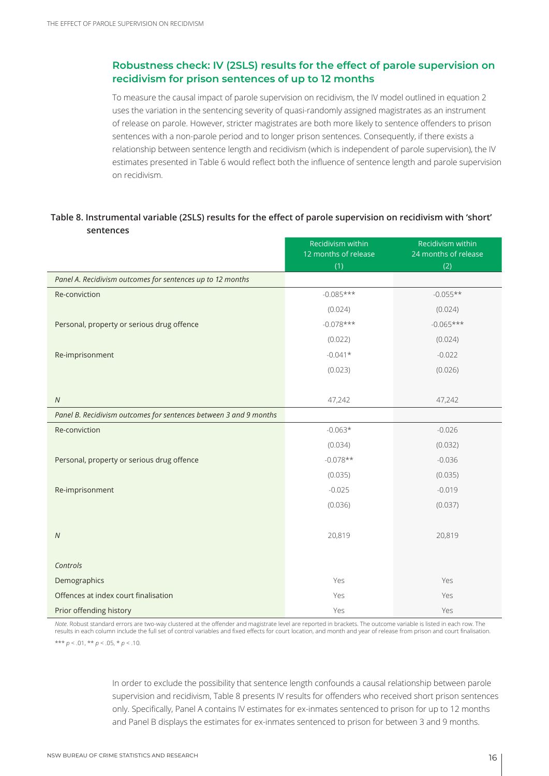#### **Robustness check: IV (2SLS) results for the effect of parole supervision on recidivism for prison sentences of up to 12 months**

To measure the causal impact of parole supervision on recidivism, the IV model outlined in equation 2 uses the variation in the sentencing severity of quasi-randomly assigned magistrates as an instrument of release on parole. However, stricter magistrates are both more likely to sentence offenders to prison sentences with a non-parole period and to longer prison sentences. Consequently, if there exists a relationship between sentence length and recidivism (which is independent of parole supervision), the IV estimates presented in Table 6 would reflect both the influence of sentence length and parole supervision on recidivism.

#### **Table 8. Instrumental variable (2SLS) results for the effect of parole supervision on recidivism with 'short' sentences**

|                                                                   | Recidivism within<br>12 months of release | Recidivism within<br>24 months of release |
|-------------------------------------------------------------------|-------------------------------------------|-------------------------------------------|
|                                                                   | (1)                                       | (2)                                       |
| Panel A. Recidivism outcomes for sentences up to 12 months        |                                           |                                           |
| Re-conviction                                                     | $-0.085***$                               | $-0.055**$                                |
|                                                                   | (0.024)                                   | (0.024)                                   |
| Personal, property or serious drug offence                        | $-0.078***$                               | $-0.065***$                               |
|                                                                   | (0.022)                                   | (0.024)                                   |
| Re-imprisonment                                                   | $-0.041*$                                 | $-0.022$                                  |
|                                                                   | (0.023)                                   | (0.026)                                   |
|                                                                   |                                           |                                           |
| ${\cal N}$                                                        | 47,242                                    | 47,242                                    |
| Panel B. Recidivism outcomes for sentences between 3 and 9 months |                                           |                                           |
| Re-conviction                                                     | $-0.063*$                                 | $-0.026$                                  |
|                                                                   | (0.034)                                   | (0.032)                                   |
| Personal, property or serious drug offence                        | $-0.078**$                                | $-0.036$                                  |
|                                                                   | (0.035)                                   | (0.035)                                   |
| Re-imprisonment                                                   | $-0.025$                                  | $-0.019$                                  |
|                                                                   | (0.036)                                   | (0.037)                                   |
|                                                                   |                                           |                                           |
| $\cal N$                                                          | 20,819                                    | 20,819                                    |
|                                                                   |                                           |                                           |
| Controls                                                          |                                           |                                           |
| Demographics                                                      | Yes                                       | Yes                                       |
| Offences at index court finalisation                              | Yes                                       | Yes                                       |
| Prior offending history                                           | Yes                                       | Yes                                       |

*Note*. Robust standard errors are two-way clustered at the offender and magistrate level are reported in brackets. The outcome variable is listed in each row. The results in each column include the full set of control variables and fixed effects for court location, and month and year of release from prison and court finalisation. \*\*\*  $p < .01$ , \*\*  $p < .05$ , \*  $p < .10$ .

> In order to exclude the possibility that sentence length confounds a causal relationship between parole supervision and recidivism, Table 8 presents IV results for offenders who received short prison sentences only. Specifically, Panel A contains IV estimates for ex-inmates sentenced to prison for up to 12 months and Panel B displays the estimates for ex-inmates sentenced to prison for between 3 and 9 months.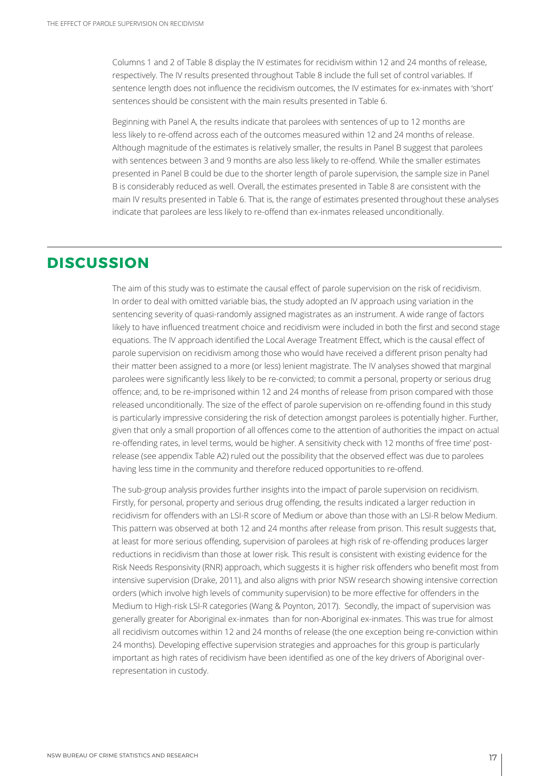Columns 1 and 2 of Table 8 display the IV estimates for recidivism within 12 and 24 months of release, respectively. The IV results presented throughout Table 8 include the full set of control variables. If sentence length does not influence the recidivism outcomes, the IV estimates for ex-inmates with 'short' sentences should be consistent with the main results presented in Table 6.

Beginning with Panel A, the results indicate that parolees with sentences of up to 12 months are less likely to re-offend across each of the outcomes measured within 12 and 24 months of release. Although magnitude of the estimates is relatively smaller, the results in Panel B suggest that parolees with sentences between 3 and 9 months are also less likely to re-offend. While the smaller estimates presented in Panel B could be due to the shorter length of parole supervision, the sample size in Panel B is considerably reduced as well. Overall, the estimates presented in Table 8 are consistent with the main IV results presented in Table 6. That is, the range of estimates presented throughout these analyses indicate that parolees are less likely to re-offend than ex-inmates released unconditionally.

## **DISCUSSION**

The aim of this study was to estimate the causal effect of parole supervision on the risk of recidivism. In order to deal with omitted variable bias, the study adopted an IV approach using variation in the sentencing severity of quasi-randomly assigned magistrates as an instrument. A wide range of factors likely to have influenced treatment choice and recidivism were included in both the first and second stage equations. The IV approach identified the Local Average Treatment Effect, which is the causal effect of parole supervision on recidivism among those who would have received a different prison penalty had their matter been assigned to a more (or less) lenient magistrate. The IV analyses showed that marginal parolees were significantly less likely to be re-convicted; to commit a personal, property or serious drug offence; and, to be re-imprisoned within 12 and 24 months of release from prison compared with those released unconditionally. The size of the effect of parole supervision on re-offending found in this study is particularly impressive considering the risk of detection amongst parolees is potentially higher. Further, given that only a small proportion of all offences come to the attention of authorities the impact on actual re-offending rates, in level terms, would be higher. A sensitivity check with 12 months of 'free time' postrelease (see appendix Table A2) ruled out the possibility that the observed effect was due to parolees having less time in the community and therefore reduced opportunities to re-offend.

The sub-group analysis provides further insights into the impact of parole supervision on recidivism. Firstly, for personal, property and serious drug offending, the results indicated a larger reduction in recidivism for offenders with an LSI-R score of Medium or above than those with an LSI-R below Medium. This pattern was observed at both 12 and 24 months after release from prison. This result suggests that, at least for more serious offending, supervision of parolees at high risk of re-offending produces larger reductions in recidivism than those at lower risk. This result is consistent with existing evidence for the Risk Needs Responsivity (RNR) approach, which suggests it is higher risk offenders who benefit most from intensive supervision (Drake, 2011), and also aligns with prior NSW research showing intensive correction orders (which involve high levels of community supervision) to be more effective for offenders in the Medium to High-risk LSI-R categories (Wang & Poynton, 2017). Secondly, the impact of supervision was generally greater for Aboriginal ex-inmates than for non-Aboriginal ex-inmates. This was true for almost all recidivism outcomes within 12 and 24 months of release (the one exception being re-conviction within 24 months). Developing effective supervision strategies and approaches for this group is particularly important as high rates of recidivism have been identified as one of the key drivers of Aboriginal overrepresentation in custody.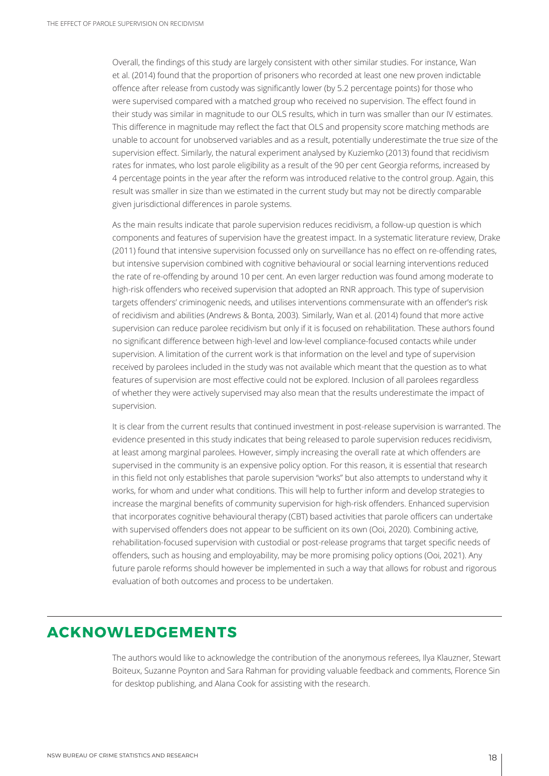Overall, the findings of this study are largely consistent with other similar studies. For instance, Wan et al. (2014) found that the proportion of prisoners who recorded at least one new proven indictable offence after release from custody was significantly lower (by 5.2 percentage points) for those who were supervised compared with a matched group who received no supervision. The effect found in their study was similar in magnitude to our OLS results, which in turn was smaller than our IV estimates. This difference in magnitude may reflect the fact that OLS and propensity score matching methods are unable to account for unobserved variables and as a result, potentially underestimate the true size of the supervision effect. Similarly, the natural experiment analysed by Kuziemko (2013) found that recidivism rates for inmates, who lost parole eligibility as a result of the 90 per cent Georgia reforms, increased by 4 percentage points in the year after the reform was introduced relative to the control group. Again, this result was smaller in size than we estimated in the current study but may not be directly comparable given jurisdictional differences in parole systems.

As the main results indicate that parole supervision reduces recidivism, a follow-up question is which components and features of supervision have the greatest impact. In a systematic literature review, Drake (2011) found that intensive supervision focussed only on surveillance has no effect on re-offending rates, but intensive supervision combined with cognitive behavioural or social learning interventions reduced the rate of re-offending by around 10 per cent. An even larger reduction was found among moderate to high-risk offenders who received supervision that adopted an RNR approach. This type of supervision targets offenders' criminogenic needs, and utilises interventions commensurate with an offender's risk of recidivism and abilities (Andrews & Bonta, 2003). Similarly, Wan et al. (2014) found that more active supervision can reduce parolee recidivism but only if it is focused on rehabilitation. These authors found no significant difference between high-level and low-level compliance-focused contacts while under supervision. A limitation of the current work is that information on the level and type of supervision received by parolees included in the study was not available which meant that the question as to what features of supervision are most effective could not be explored. Inclusion of all parolees regardless of whether they were actively supervised may also mean that the results underestimate the impact of supervision.

It is clear from the current results that continued investment in post-release supervision is warranted. The evidence presented in this study indicates that being released to parole supervision reduces recidivism, at least among marginal parolees. However, simply increasing the overall rate at which offenders are supervised in the community is an expensive policy option. For this reason, it is essential that research in this field not only establishes that parole supervision "works" but also attempts to understand why it works, for whom and under what conditions. This will help to further inform and develop strategies to increase the marginal benefits of community supervision for high-risk offenders. Enhanced supervision that incorporates cognitive behavioural therapy (CBT) based activities that parole officers can undertake with supervised offenders does not appear to be sufficient on its own (Ooi, 2020). Combining active, rehabilitation-focused supervision with custodial or post-release programs that target specific needs of offenders, such as housing and employability, may be more promising policy options (Ooi, 2021). Any future parole reforms should however be implemented in such a way that allows for robust and rigorous evaluation of both outcomes and process to be undertaken.

## **ACKNOWLEDGEMENTS**

The authors would like to acknowledge the contribution of the anonymous referees, Ilya Klauzner, Stewart Boiteux, Suzanne Poynton and Sara Rahman for providing valuable feedback and comments, Florence Sin for desktop publishing, and Alana Cook for assisting with the research.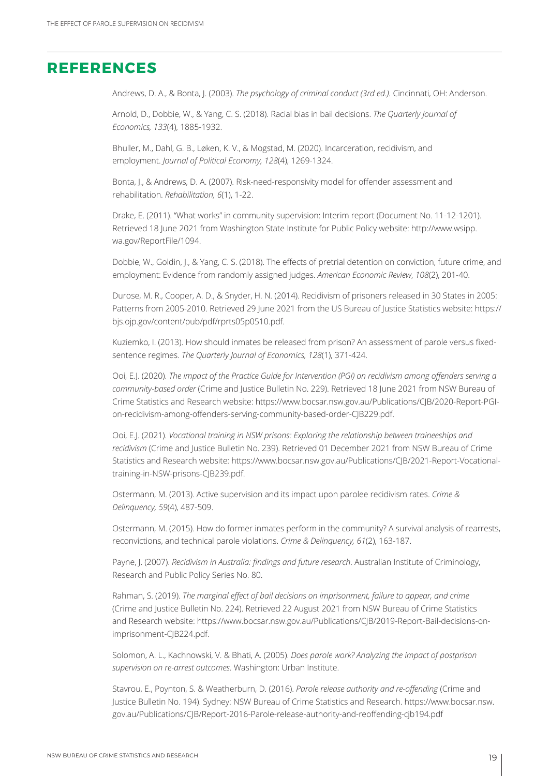### **REFERENCES**

Andrews, D. A., & Bonta, J. (2003). *The psychology of criminal conduct (3rd ed.).* Cincinnati, OH: Anderson.

Arnold, D., Dobbie, W., & Yang, C. S. (2018). Racial bias in bail decisions. *The Quarterly Journal of Economics, 133*(4), 1885-1932.

Bhuller, M., Dahl, G. B., Løken, K. V., & Mogstad, M. (2020). Incarceration, recidivism, and employment. *Journal of Political Economy, 128*(4), 1269-1324.

Bonta, J., & Andrews, D. A. (2007). Risk-need-responsivity model for offender assessment and rehabilitation. *Rehabilitation, 6*(1), 1-22.

Drake, E. (2011). "What works" in community supervision: Interim report (Document No. 11-12-1201). Retrieved 18 June 2021 from Washington State Institute for Public Policy website: http://www.wsipp. wa.gov/ReportFile/1094.

Dobbie, W., Goldin, J., & Yang, C. S. (2018). The effects of pretrial detention on conviction, future crime, and employment: Evidence from randomly assigned judges. *American Economic Review*, *108*(2), 201-40.

Durose, M. R., Cooper, A. D., & Snyder, H. N. (2014). Recidivism of prisoners released in 30 States in 2005: Patterns from 2005-2010. Retrieved 29 June 2021 from the US Bureau of Justice Statistics website: https:// bjs.ojp.gov/content/pub/pdf/rprts05p0510.pdf.

Kuziemko, I. (2013). How should inmates be released from prison? An assessment of parole versus fixedsentence regimes. *The Quarterly Journal of Economics, 128*(1), 371-424.

Ooi, E.J. (2020). *The impact of the Practice Guide for Intervention (PGI) on recidivism among offenders serving a community-based order* (Crime and Justice Bulletin No. 229). Retrieved 18 June 2021 from NSW Bureau of Crime Statistics and Research website: https://www.bocsar.nsw.gov.au/Publications/CJB/2020-Report-PGIon-recidivism-among-offenders-serving-community-based-order-CJB229.pdf.

Ooi, E.J. (2021). *Vocational training in NSW prisons: Exploring the relationship between traineeships and recidivism* (Crime and Justice Bulletin No. 239). Retrieved 01 December 2021 from NSW Bureau of Crime Statistics and Research website: https://www.bocsar.nsw.gov.au/Publications/CJB/2021-Report-Vocationaltraining-in-NSW-prisons-CJB239.pdf.

Ostermann, M. (2013). Active supervision and its impact upon parolee recidivism rates. *Crime & Delinquency, 59*(4), 487-509.

Ostermann, M. (2015). How do former inmates perform in the community? A survival analysis of rearrests, reconvictions, and technical parole violations. *Crime & Delinquency, 61*(2), 163-187.

Payne, J. (2007). *Recidivism in Australia: findings and future research*. Australian Institute of Criminology, Research and Public Policy Series No. 80.

Rahman, S. (2019). *The marginal effect of bail decisions on imprisonment, failure to appear, and crime*  (Crime and Justice Bulletin No. 224). Retrieved 22 August 2021 from NSW Bureau of Crime Statistics and Research website: https://www.bocsar.nsw.gov.au/Publications/CJB/2019-Report-Bail-decisions-onimprisonment-CJB224.pdf.

Solomon, A. L., Kachnowski, V. & Bhati, A. (2005). *Does parole work? Analyzing the impact of postprison supervision on re-arrest outcomes.* Washington: Urban Institute.

Stavrou, E., Poynton, S. & Weatherburn, D. (2016). *Parole release authority and re-offending* (Crime and Justice Bulletin No. 194). Sydney: NSW Bureau of Crime Statistics and Research. https://www.bocsar.nsw. gov.au/Publications/CJB/Report-2016-Parole-release-authority-and-reoffending-cjb194.pdf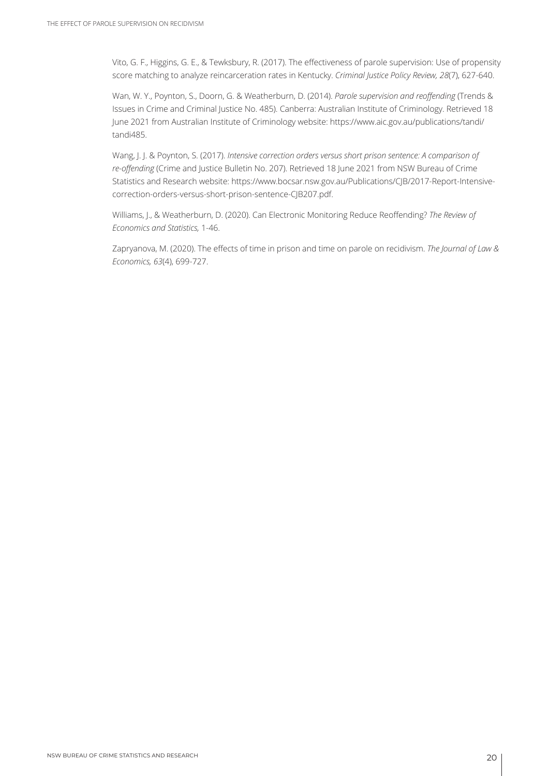Vito, G. F., Higgins, G. E., & Tewksbury, R. (2017). The effectiveness of parole supervision: Use of propensity score matching to analyze reincarceration rates in Kentucky. *Criminal Justice Policy Review, 28*(7), 627-640.

Wan, W. Y., Poynton, S., Doorn, G. & Weatherburn, D. (2014). *Parole supervision and reoffending* (Trends & Issues in Crime and Criminal Justice No. 485). Canberra: Australian Institute of Criminology. Retrieved 18 June 2021 from Australian Institute of Criminology website: https://www.aic.gov.au/publications/tandi/ tandi485.

Wang, J. J. & Poynton, S. (2017). *Intensive correction orders versus short prison sentence: A comparison of re-offending* (Crime and Justice Bulletin No. 207). Retrieved 18 June 2021 from NSW Bureau of Crime Statistics and Research website: https://www.bocsar.nsw.gov.au/Publications/CJB/2017-Report-Intensivecorrection-orders-versus-short-prison-sentence-CJB207.pdf.

Williams, J., & Weatherburn, D. (2020). Can Electronic Monitoring Reduce Reoffending? *The Review of Economics and Statistics,* 1-46.

Zapryanova, M. (2020). The effects of time in prison and time on parole on recidivism. *The Journal of Law & Economics, 63*(4), 699-727.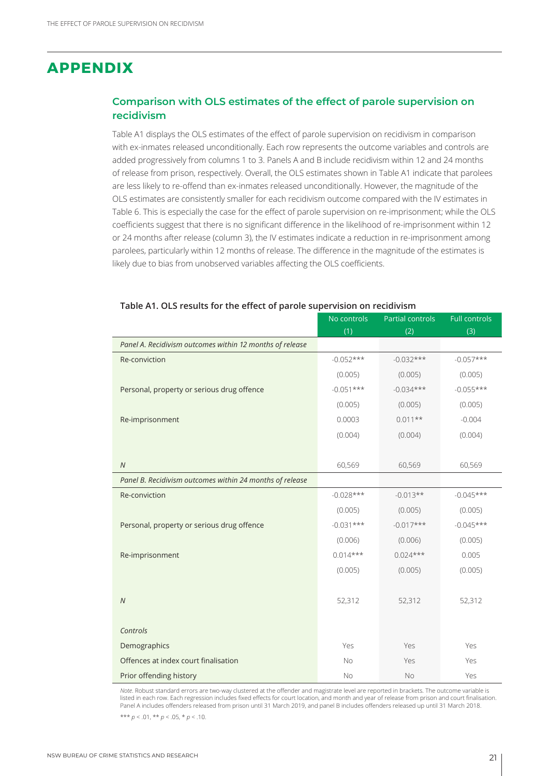## **APPENDIX**

#### **Comparison with OLS estimates of the effect of parole supervision on recidivism**

Table A1 displays the OLS estimates of the effect of parole supervision on recidivism in comparison with ex-inmates released unconditionally. Each row represents the outcome variables and controls are added progressively from columns 1 to 3. Panels A and B include recidivism within 12 and 24 months of release from prison, respectively. Overall, the OLS estimates shown in Table A1 indicate that parolees are less likely to re-offend than ex-inmates released unconditionally. However, the magnitude of the OLS estimates are consistently smaller for each recidivism outcome compared with the IV estimates in Table 6. This is especially the case for the effect of parole supervision on re-imprisonment; while the OLS coefficients suggest that there is no significant difference in the likelihood of re-imprisonment within 12 or 24 months after release (column 3), the IV estimates indicate a reduction in re-imprisonment among parolees, particularly within 12 months of release. The difference in the magnitude of the estimates is likely due to bias from unobserved variables affecting the OLS coefficients.

|                                                          | No controls | <b>Partial controls</b> | <b>Full controls</b> |
|----------------------------------------------------------|-------------|-------------------------|----------------------|
|                                                          | (1)         | (2)                     | (3)                  |
| Panel A. Recidivism outcomes within 12 months of release |             |                         |                      |
| Re-conviction                                            | $-0.052***$ | $-0.032***$             | $-0.057***$          |
|                                                          | (0.005)     | (0.005)                 | (0.005)              |
| Personal, property or serious drug offence               | $-0.051***$ | $-0.034***$             | $-0.055***$          |
|                                                          | (0.005)     | (0.005)                 | (0.005)              |
| Re-imprisonment                                          | 0.0003      | $0.011**$               | $-0.004$             |
|                                                          | (0.004)     | (0.004)                 | (0.004)              |
|                                                          |             |                         |                      |
| $\overline{N}$                                           | 60,569      | 60,569                  | 60,569               |
| Panel B. Recidivism outcomes within 24 months of release |             |                         |                      |
| Re-conviction                                            | $-0.028***$ | $-0.013**$              | $-0.045***$          |
|                                                          | (0.005)     | (0.005)                 | (0.005)              |
| Personal, property or serious drug offence               | $-0.031***$ | $-0.017***$             | $-0.045***$          |
|                                                          | (0.006)     | (0.006)                 | (0.005)              |
| Re-imprisonment                                          | $0.014***$  | $0.024***$              | 0.005                |
|                                                          | (0.005)     | (0.005)                 | (0.005)              |
|                                                          |             |                         |                      |
| $\overline{N}$                                           | 52,312      | 52,312                  | 52,312               |
|                                                          |             |                         |                      |
| Controls                                                 |             |                         |                      |
| Demographics                                             | Yes         | Yes                     | Yes                  |
| Offences at index court finalisation                     | No          | Yes                     | Yes                  |
| Prior offending history                                  | <b>No</b>   | <b>No</b>               | Yes                  |

#### **Table A1. OLS results for the effect of parole supervision on recidivism**

*Note*. Robust standard errors are two-way clustered at the offender and magistrate level are reported in brackets. The outcome variable is listed in each row. Each regression includes fixed effects for court location, and month and year of release from prison and court finalisation. Panel A includes offenders released from prison until 31 March 2019, and panel B includes offenders released up until 31 March 2018.